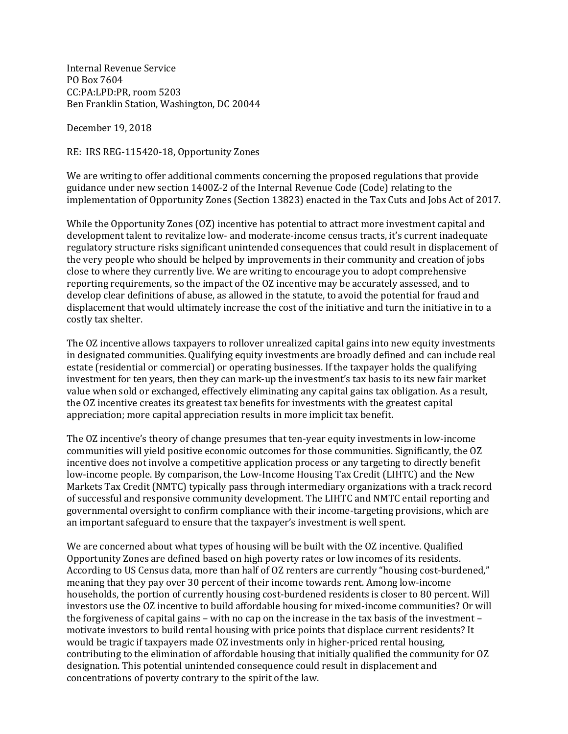Internal Revenue Service PO Box 7604 CC:PA:LPD:PR, room 5203 Ben Franklin Station, Washington, DC 20044

December 19, 2018

RE: IRS REG-115420-18, Opportunity Zones

We are writing to offer additional comments concerning the proposed regulations that provide guidance under new section 1400Z-2 of the Internal Revenue Code (Code) relating to the implementation of Opportunity Zones (Section 13823) enacted in the Tax Cuts and Jobs Act of 2017.

While the Opportunity Zones (OZ) incentive has potential to attract more investment capital and development talent to revitalize low- and moderate-income census tracts, it's current inadequate regulatory structure risks significant unintended consequences that could result in displacement of the very people who should be helped by improvements in their community and creation of jobs close to where they currently live. We are writing to encourage you to adopt comprehensive reporting requirements, so the impact of the OZ incentive may be accurately assessed, and to develop clear definitions of abuse, as allowed in the statute, to avoid the potential for fraud and displacement that would ultimately increase the cost of the initiative and turn the initiative in to a costly tax shelter.

The OZ incentive allows taxpayers to rollover unrealized capital gains into new equity investments in designated communities. Qualifying equity investments are broadly defined and can include real estate (residential or commercial) or operating businesses. If the taxpayer holds the qualifying investment for ten years, then they can mark-up the investment's tax basis to its new fair market value when sold or exchanged, effectively eliminating any capital gains tax obligation. As a result, the OZ incentive creates its greatest tax benefits for investments with the greatest capital appreciation; more capital appreciation results in more implicit tax benefit.

The OZ incentive's theory of change presumes that ten-year equity investments in low-income communities will yield positive economic outcomes for those communities. Significantly, the OZ incentive does not involve a competitive application process or any targeting to directly benefit low-income people. By comparison, the Low-Income Housing Tax Credit (LIHTC) and the New Markets Tax Credit (NMTC) typically pass through intermediary organizations with a track record of successful and responsive community development. The LIHTC and NMTC entail reporting and governmental oversight to confirm compliance with their income-targeting provisions, which are an important safeguard to ensure that the taxpayer's investment is well spent.

We are concerned about what types of housing will be built with the OZ incentive. Qualified Opportunity Zones are defined based on high poverty rates or low incomes of its residents. According to US Census data, more than half of OZ renters are currently "housing cost-burdened," meaning that they pay over 30 percent of their income towards rent. Among low-income households, the portion of currently housing cost-burdened residents is closer to 80 percent. Will investors use the OZ incentive to build affordable housing for mixed-income communities? Or will the forgiveness of capital gains – with no cap on the increase in the tax basis of the investment – motivate investors to build rental housing with price points that displace current residents? It would be tragic if taxpayers made OZ investments only in higher-priced rental housing, contributing to the elimination of affordable housing that initially qualified the community for OZ designation. This potential unintended consequence could result in displacement and concentrations of poverty contrary to the spirit of the law.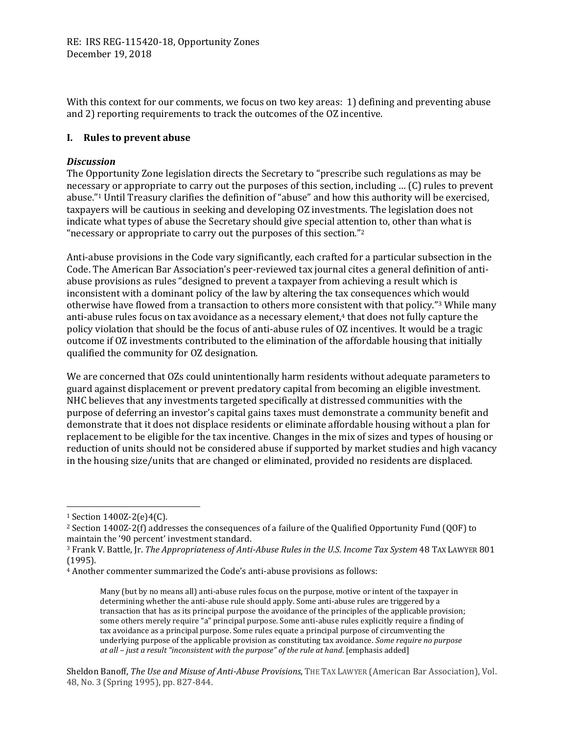With this context for our comments, we focus on two key areas: 1) defining and preventing abuse and 2) reporting requirements to track the outcomes of the OZ incentive.

# **I. Rules to prevent abuse**

# *Discussion*

The Opportunity Zone legislation directs the Secretary to "prescribe such regulations as may be necessary or appropriate to carry out the purposes of this section, including … (C) rules to prevent abuse."<sup>1</sup> Until Treasury clarifies the definition of "abuse" and how this authority will be exercised, taxpayers will be cautious in seeking and developing OZ investments. The legislation does not indicate what types of abuse the Secretary should give special attention to, other than what is "necessary or appropriate to carry out the purposes of this section."<sup>2</sup>

Anti-abuse provisions in the Code vary significantly, each crafted for a particular subsection in the Code. The American Bar Association's peer-reviewed tax journal cites a general definition of antiabuse provisions as rules "designed to prevent a taxpayer from achieving a result which is inconsistent with a dominant policy of the law by altering the tax consequences which would otherwise have flowed from a transaction to others more consistent with that policy."<sup>3</sup> While many anti-abuse rules focus on tax avoidance as a necessary element,<sup>4</sup> that does not fully capture the policy violation that should be the focus of anti-abuse rules of OZ incentives. It would be a tragic outcome if OZ investments contributed to the elimination of the affordable housing that initially qualified the community for OZ designation.

We are concerned that OZs could unintentionally harm residents without adequate parameters to guard against displacement or prevent predatory capital from becoming an eligible investment. NHC believes that any investments targeted specifically at distressed communities with the purpose of deferring an investor's capital gains taxes must demonstrate a community benefit and demonstrate that it does not displace residents or eliminate affordable housing without a plan for replacement to be eligible for the tax incentive. Changes in the mix of sizes and types of housing or reduction of units should not be considered abuse if supported by market studies and high vacancy in the housing size/units that are changed or eliminated, provided no residents are displaced.

l

<sup>1</sup> Section 1400Z-2(e)4(C).

<sup>2</sup> Section 1400Z-2(f) addresses the consequences of a failure of the Qualified Opportunity Fund (QOF) to maintain the '90 percent' investment standard.

<sup>3</sup> Frank V. Battle, Jr. *The Appropriateness of Anti-Abuse Rules in the U.S. Income Tax System* 48 TAX LAWYER 801 (1995).

<sup>4</sup> Another commenter summarized the Code's anti-abuse provisions as follows:

Many (but by no means all) anti-abuse rules focus on the purpose, motive or intent of the taxpayer in determining whether the anti-abuse rule should apply. Some anti-abuse rules are triggered by a transaction that has as its principal purpose the avoidance of the principles of the applicable provision; some others merely require "a" principal purpose. Some anti-abuse rules explicitly require a finding of tax avoidance as a principal purpose. Some rules equate a principal purpose of circumventing the underlying purpose of the applicable provision as constituting tax avoidance. *Some require no purpose at all – just a result "inconsistent with the purpose" of the rule at hand*. [emphasis added]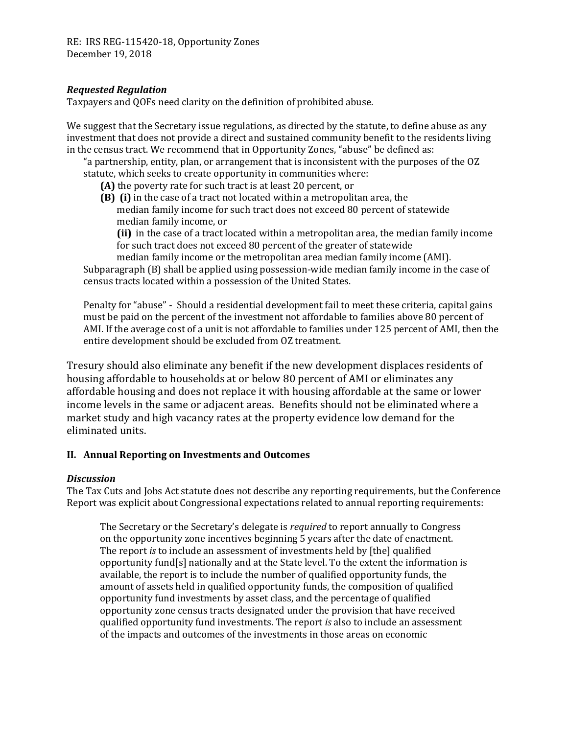RE: IRS REG-115420-18, Opportunity Zones December 19, 2018

### *Requested Regulation*

Taxpayers and QOFs need clarity on the definition of prohibited abuse.

We suggest that the Secretary issue regulations, as directed by the statute, to define abuse as any investment that does not provide a direct and sustained community benefit to the residents living in the census tract. We recommend that in Opportunity Zones, "abuse" be defined as:

"a partnership, entity, plan, or arrangement that is inconsistent with the purposes of the OZ statute, which seeks to create opportunity in communities where:

- **(A)** the poverty rate for such tract is at least 20 percent, or
- **(B) (i)** in the case of a tract not located within a metropolitan area, the median family income for such tract does not exceed 80 percent of statewide median family income, or

**(ii)** in the case of a tract located within a metropolitan area, the median family income for such tract does not exceed 80 percent of the greater of statewide

median family income or the metropolitan area median family income (AMI). Subparagraph (B) shall be applied using possession-wide median family income in the case of

census tracts located within a possession of the United States.

Penalty for "abuse" - Should a residential development fail to meet these criteria, capital gains must be paid on the percent of the investment not affordable to families above 80 percent of AMI. If the average cost of a unit is not affordable to families under 125 percent of AMI, then the entire development should be excluded from OZ treatment.

Tresury should also eliminate any benefit if the new development displaces residents of housing affordable to households at or below 80 percent of AMI or eliminates any affordable housing and does not replace it with housing affordable at the same or lower income levels in the same or adjacent areas. Benefits should not be eliminated where a market study and high vacancy rates at the property evidence low demand for the eliminated units.

#### **II. Annual Reporting on Investments and Outcomes**

#### *Discussion*

The Tax Cuts and Jobs Act statute does not describe any reporting requirements, but the Conference Report was explicit about Congressional expectations related to annual reporting requirements:

The Secretary or the Secretary's delegate is *required* to report annually to Congress on the opportunity zone incentives beginning 5 years after the date of enactment. The report *is* to include an assessment of investments held by [the] qualified opportunity fund[s] nationally and at the State level. To the extent the information is available, the report is to include the number of qualified opportunity funds, the amount of assets held in qualified opportunity funds, the composition of qualified opportunity fund investments by asset class, and the percentage of qualified opportunity zone census tracts designated under the provision that have received qualified opportunity fund investments. The report *is* also to include an assessment of the impacts and outcomes of the investments in those areas on economic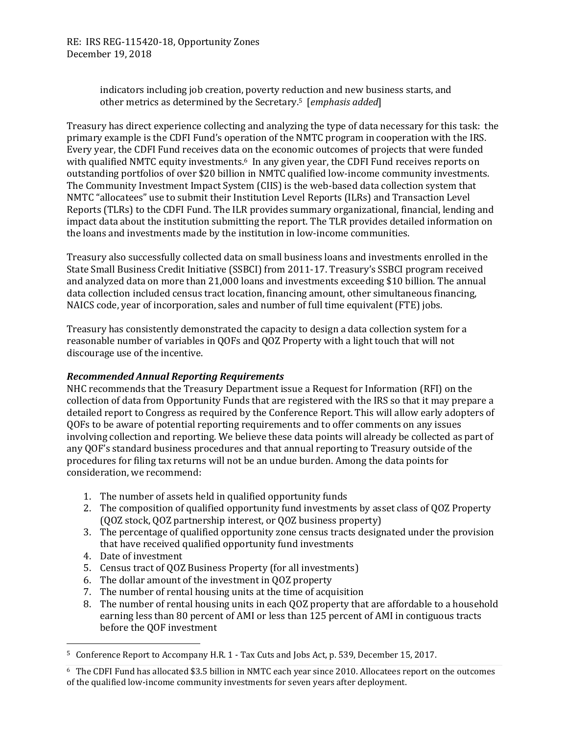RE: IRS REG-115420-18, Opportunity Zones December 19, 2018

> indicators including job creation, poverty reduction and new business starts, and other metrics as determined by the Secretary.5 [*emphasis added*]

Treasury has direct experience collecting and analyzing the type of data necessary for this task: the primary example is the CDFI Fund's operation of the NMTC program in cooperation with the IRS. Every year, the CDFI Fund receives data on the economic outcomes of projects that were funded with qualified NMTC equity investments.<sup>6</sup> In any given year, the CDFI Fund receives reports on outstanding portfolios of over \$20 billion in NMTC qualified low-income community investments. The Community Investment Impact System (CIIS) is the web-based data collection system that NMTC "allocatees" use to submit their Institution Level Reports (ILRs) and Transaction Level Reports (TLRs) to the CDFI Fund. The ILR provides summary organizational, financial, lending and impact data about the institution submitting the report. The TLR provides detailed information on the loans and investments made by the institution in low-income communities.

Treasury also successfully collected data on small business loans and investments enrolled in the State Small Business Credit Initiative (SSBCI) from 2011-17. Treasury's SSBCI program received and analyzed data on more than 21,000 loans and investments exceeding \$10 billion. The annual data collection included census tract location, financing amount, other simultaneous financing, NAICS code, year of incorporation, sales and number of full time equivalent (FTE) jobs.

Treasury has consistently demonstrated the capacity to design a data collection system for a reasonable number of variables in QOFs and QOZ Property with a light touch that will not discourage use of the incentive.

# *Recommended Annual Reporting Requirements*

NHC recommends that the Treasury Department issue a Request for Information (RFI) on the collection of data from Opportunity Funds that are registered with the IRS so that it may prepare a detailed report to Congress as required by the Conference Report. This will allow early adopters of QOFs to be aware of potential reporting requirements and to offer comments on any issues involving collection and reporting. We believe these data points will already be collected as part of any QOF's standard business procedures and that annual reporting to Treasury outside of the procedures for filing tax returns will not be an undue burden. Among the data points for consideration, we recommend:

- 1. The number of assets held in qualified opportunity funds
- 2. The composition of qualified opportunity fund investments by asset class of QOZ Property (QOZ stock, QOZ partnership interest, or QOZ business property)
- 3. The percentage of qualified opportunity zone census tracts designated under the provision that have received qualified opportunity fund investments
- 4. Date of investment

 $\overline{\phantom{0}}$ 

- 5. Census tract of QOZ Business Property (for all investments)
- 6. The dollar amount of the investment in QOZ property
- 7. The number of rental housing units at the time of acquisition
- 8. The number of rental housing units in each QOZ property that are affordable to a household earning less than 80 percent of AMI or less than 125 percent of AMI in contiguous tracts before the QOF investment

<sup>5</sup> Conference Report to Accompany H.R. 1 - Tax Cuts and Jobs Act, p. 539, December 15, 2017.

<sup>6</sup> The CDFI Fund has allocated \$3.5 billion in NMTC each year since 2010. Allocatees report on the outcomes of the qualified low-income community investments for seven years after deployment.